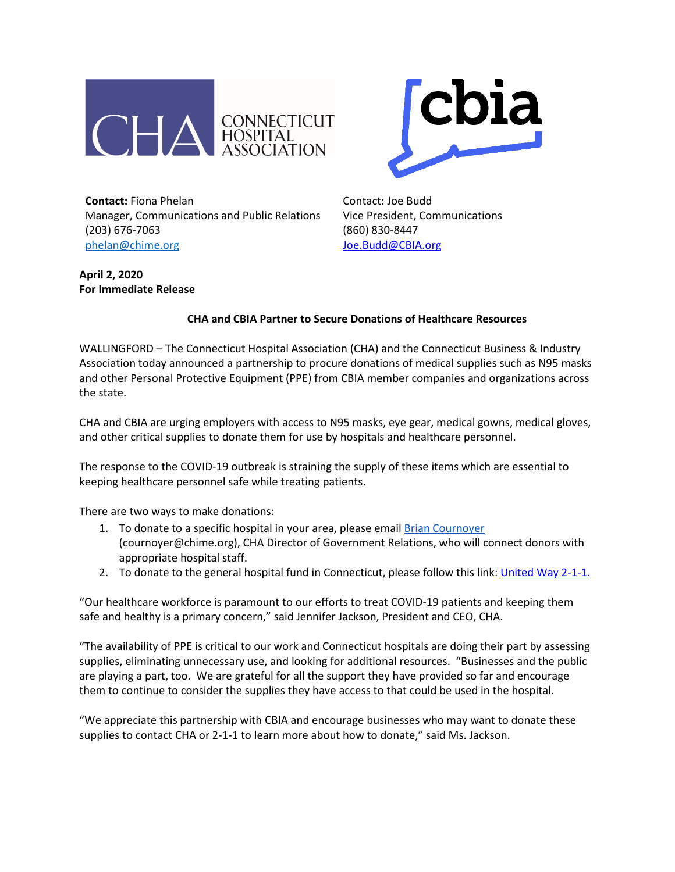



**Contact:** Fiona Phelan Manager, Communications and Public Relations (203) 676-7063 [phelan@chime.org](mailto:phelan@chime.org)

Contact: Joe Budd Vice President, Communications (860) 830-8447 [Joe.Budd@CBIA.org](mailto:Joe.Budd@CBIA.org)

**April 2, 2020 For Immediate Release**

## **CHA and CBIA Partner to Secure Donations of Healthcare Resources**

WALLINGFORD – The Connecticut Hospital Association (CHA) and the Connecticut Business & Industry Association today announced a partnership to procure donations of medical supplies such as N95 masks and other Personal Protective Equipment (PPE) from CBIA member companies and organizations across the state.

CHA and CBIA are urging employers with access to N95 masks, eye gear, medical gowns, medical gloves, and other critical supplies to donate them for use by hospitals and healthcare personnel.

The response to the COVID-19 outbreak is straining the supply of these items which are essential to keeping healthcare personnel safe while treating patients.

There are two ways to make donations:

- 1. To donate to a specific hospital in your area, please emai[l Brian Cournoyer](mailto:cournoyer@chime.org) [\(cournoyer@chime.org\)](mailto:cournoyer@chime.org), CHA Director of Government Relations, who will connect donors with appropriate hospital staff.
- 2. To donate to the general hospital fund in Connecticut, please follow this link: [United Way 2-1-1.](https://uwc.211ct.org/coronavirus-covid-19-information/)

"Our healthcare workforce is paramount to our efforts to treat COVID-19 patients and keeping them safe and healthy is a primary concern," said Jennifer Jackson, President and CEO, CHA.

"The availability of PPE is critical to our work and Connecticut hospitals are doing their part by assessing supplies, eliminating unnecessary use, and looking for additional resources. "Businesses and the public are playing a part, too. We are grateful for all the support they have provided so far and encourage them to continue to consider the supplies they have access to that could be used in the hospital.

"We appreciate this partnership with CBIA and encourage businesses who may want to donate these supplies to contact CHA or 2-1-1 to learn more about how to donate," said Ms. Jackson.